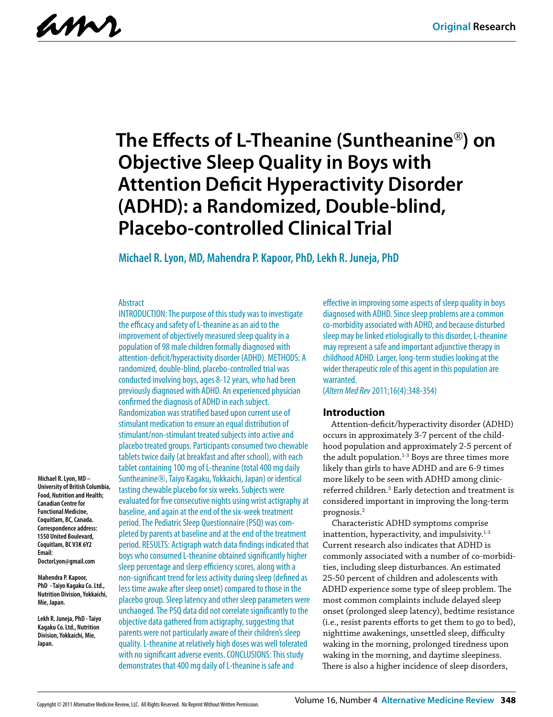amr

# **The Effects of L-Theanine (Suntheanine) on Objective Sleep Quality in Boys with Attention Deficit Hyperactivity Disorder (ADHD): a Randomized, Double-blind, Placebo-controlled Clinical Trial**

### **Michael R. Lyon, MD, Mahendra P. Kapoor, PhD, Lekh R. Juneja, PhD**

#### Abstract

INTRODUCTION: The purpose of this study was to investigate the efficacy and safety of L-theanine as an aid to the improvement of objectively measured sleep quality in a population of 98 male children formally diagnosed with attention-deficit/hyperactivity disorder (ADHD). METHODS: A randomized, double-blind, placebo-controlled trial was conducted involving boys, ages 8-12 years, who had been previously diagnosed with ADHD. An experienced physician confirmed the diagnosis of ADHD in each subject. Randomization was stratified based upon current use of stimulant medication to ensure an equal distribution of stimulant/non-stimulant treated subjects into active and placebo treated groups. Participants consumed two chewable tablets twice daily (at breakfast and after school), with each tablet containing 100 mg of L-theanine (total 400 mg daily Suntheanine®, Taiyo Kagaku, Yokkaichi, Japan) or identical tasting chewable placebo for six weeks. Subjects were evaluated for five consecutive nights using wrist actigraphy at baseline, and again at the end of the six-week treatment period. The Pediatric Sleep Questionnaire (PSQ) was completed by parents at baseline and at the end of the treatment period. RESULTS: Actigraph watch data findings indicated that boys who consumed L-theanine obtained significantly higher sleep percentage and sleep efficiency scores, along with a non-significant trend for less activity during sleep (defined as less time awake after sleep onset) compared to those in the placebo group. Sleep latency and other sleep parameters were unchanged. The PSQ data did not correlate significantly to the objective data gathered from actigraphy, suggesting that parents were not particularly aware of their children's sleep quality. L-theanine at relatively high doses was well tolerated with no significant adverse events. CONCLUSIONS: This study demonstrates that 400 mg daily of L-theanine is safe and

effective in improving some aspects of sleep quality in boys diagnosed with ADHD. Since sleep problems are a common co-morbidity associated with ADHD, and because disturbed sleep may be linked etiologically to this disorder, L-theanine may represent a safe and important adjunctive therapy in childhood ADHD. Larger, long-term studies looking at the wider therapeutic role of this agent in this population are warranted.

(*Altern Med Rev* 2011;16(4):348-354)

#### **Introduction**

Attention-deficit/hyperactivity disorder (ADHD) occurs in approximately 3-7 percent of the childhood population and approximately 2-5 percent of the adult population. $1-3$  Boys are three times more likely than girls to have ADHD and are 6-9 times more likely to be seen with ADHD among clinicreferred children.<sup>3</sup> Early detection and treatment is considered important in improving the long-term prognosis.2

Characteristic ADHD symptoms comprise inattention, hyperactivity, and impulsivity.<sup>1-3</sup> Current research also indicates that ADHD is commonly associated with a number of co-morbidities, including sleep disturbances. An estimated 25-50 percent of children and adolescents with ADHD experience some type of sleep problem. The most common complaints include delayed sleep onset (prolonged sleep latency), bedtime resistance (i.e., resist parents efforts to get them to go to bed), nighttime awakenings, unsettled sleep, difficulty waking in the morning, prolonged tiredness upon waking in the morning, and daytime sleepiness. There is also a higher incidence of sleep disorders,

**Michael R. Lyon, MD – University of British Columbia, Food, Nutrition and Health; Canadian Centre for Functional Medicine, Coquitlam, BC, Canada. Correspondence address: 1550 United Boulevard, Coquitlam, BC V3K 6Y2 Email: DoctorLyon@gmail.com**

**Mahendra P. Kapoor, PhD - Taiyo Kagaku Co. Ltd., Nutrition Division, Yokkaichi, Mie, Japan.**

**Lekh R. Juneja, PhD - Taiyo Kagaku Co. Ltd., Nutrition Division, Yokkaichi, Mie, Japan.**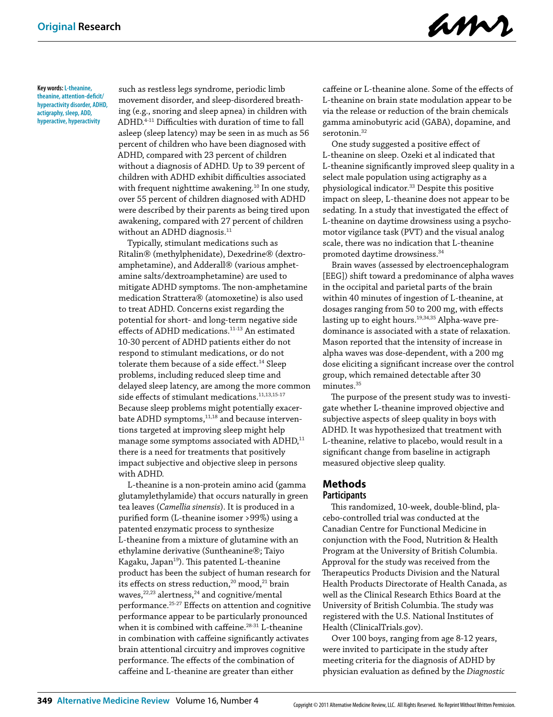amr

**Key words: L-theanine, theanine, attention-deficit/ hyperactivity disorder, ADHD, actigraphy, sleep, ADD, hyperactive, hyperactivity**

such as restless legs syndrome, periodic limb movement disorder, and sleep-disordered breathing (e.g., snoring and sleep apnea) in children with ADHD.4-11 Difficulties with duration of time to fall asleep (sleep latency) may be seen in as much as 56 percent of children who have been diagnosed with ADHD, compared with 23 percent of children without a diagnosis of ADHD. Up to 39 percent of children with ADHD exhibit difficulties associated with frequent nighttime awakening.<sup>10</sup> In one study, over 55 percent of children diagnosed with ADHD were described by their parents as being tired upon awakening, compared with 27 percent of children without an ADHD diagnosis.<sup>11</sup>

Typically, stimulant medications such as Ritalin® (methylphenidate), Dexedrine® (dextroamphetamine), and Adderall<sup>®</sup> (various amphetamine salts/dextroamphetamine) are used to mitigate ADHD symptoms. The non-amphetamine medication Strattera® (atomoxetine) is also used to treat ADHD. Concerns exist regarding the potential for short- and long-term negative side effects of ADHD medications.<sup>11-13</sup> An estimated 10-30 percent of ADHD patients either do not respond to stimulant medications, or do not tolerate them because of a side effect.<sup>14</sup> Sleep problems, including reduced sleep time and delayed sleep latency, are among the more common side effects of stimulant medications.<sup>11,13,15-17</sup> Because sleep problems might potentially exacerbate ADHD symptoms,<sup>11,18</sup> and because interventions targeted at improving sleep might help manage some symptoms associated with ADHD, $^{11}$ there is a need for treatments that positively impact subjective and objective sleep in persons with ADHD.

L-theanine is a non-protein amino acid (gamma glutamylethylamide) that occurs naturally in green tea leaves (*Camellia sinensis*). It is produced in a purified form (L-theanine isomer >99%) using a patented enzymatic process to synthesize L-theanine from a mixture of glutamine with an ethylamine derivative (Suntheanine®; Taiyo Kagaku, Japan<sup>19</sup>). This patented L-theanine product has been the subject of human research for its effects on stress reduction,<sup>20</sup> mood,<sup>21</sup> brain waves, $22,23$  alertness, $24$  and cognitive/mental performance.25-27 Effects on attention and cognitive performance appear to be particularly pronounced when it is combined with caffeine. $28-31$  L-theanine in combination with caffeine significantly activates brain attentional circuitry and improves cognitive performance. The effects of the combination of caffeine and L-theanine are greater than either

caffeine or L-theanine alone. Some of the effects of L-theanine on brain state modulation appear to be via the release or reduction of the brain chemicals gamma aminobutyric acid (GABA), dopamine, and serotonin.<sup>32</sup>

One study suggested a positive effect of L-theanine on sleep. Ozeki et al indicated that L-theanine significantly improved sleep quality in a select male population using actigraphy as a physiological indicator.<sup>33</sup> Despite this positive impact on sleep, L-theanine does not appear to be sedating. In a study that investigated the effect of L-theanine on daytime drowsiness using a psychomotor vigilance task (PVT) and the visual analog scale, there was no indication that L-theanine promoted daytime drowsiness.34

Brain waves (assessed by electroencephalogram [EEG]) shift toward a predominance of alpha waves in the occipital and parietal parts of the brain within 40 minutes of ingestion of L-theanine, at dosages ranging from 50 to 200 mg, with effects lasting up to eight hours.<sup>19,34,35</sup> Alpha-wave predominance is associated with a state of relaxation. Mason reported that the intensity of increase in alpha waves was dose-dependent, with a 200 mg dose eliciting a significant increase over the control group, which remained detectable after 30 minutes.35

The purpose of the present study was to investigate whether L-theanine improved objective and subjective aspects of sleep quality in boys with ADHD. It was hypothesized that treatment with L-theanine, relative to placebo, would result in a significant change from baseline in actigraph measured objective sleep quality.

#### **Methods Participants**

This randomized, 10-week, double-blind, placebo-controlled trial was conducted at the Canadian Centre for Functional Medicine in conjunction with the Food, Nutrition & Health Program at the University of British Columbia. Approval for the study was received from the Therapeutics Products Division and the Natural Health Products Directorate of Health Canada, as well as the Clinical Research Ethics Board at the University of British Columbia. The study was registered with the U.S. National Institutes of Health (ClinicalTrials.gov).

Over 100 boys, ranging from age 8-12 years, were invited to participate in the study after meeting criteria for the diagnosis of ADHD by physician evaluation as defined by the *Diagnostic*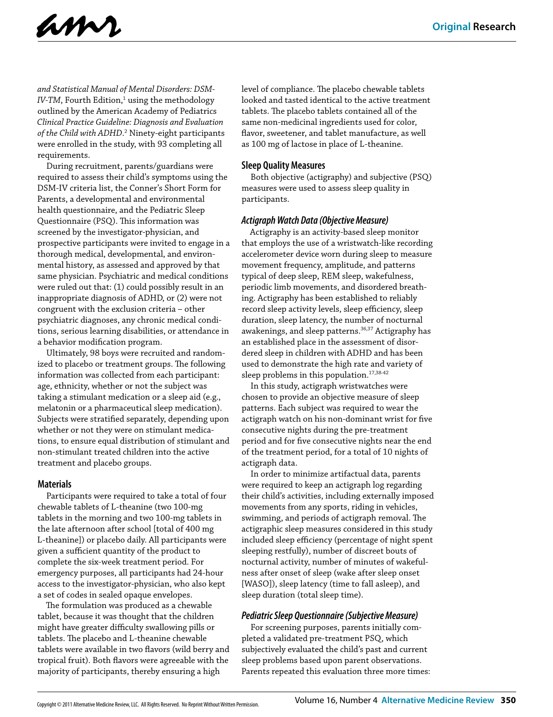

*and Statistical Manual of Mental Disorders: DSM-*IV-TM, Fourth Edition,<sup>1</sup> using the methodology outlined by the American Academy of Pediatrics *Clinical Practice Guideline: Diagnosis and Evaluation*  of the Child with ADHD.<sup>2</sup> Ninety-eight participants were enrolled in the study, with 93 completing all requirements.

During recruitment, parents/guardians were required to assess their child's symptoms using the DSM-IV criteria list, the Conner's Short Form for Parents, a developmental and environmental health questionnaire, and the Pediatric Sleep Questionnaire (PSQ). This information was screened by the investigator-physician, and prospective participants were invited to engage in a thorough medical, developmental, and environmental history, as assessed and approved by that same physician. Psychiatric and medical conditions were ruled out that: (1) could possibly result in an inappropriate diagnosis of ADHD, or (2) were not congruent with the exclusion criteria – other psychiatric diagnoses, any chronic medical conditions, serious learning disabilities, or attendance in a behavior modification program.

Ultimately, 98 boys were recruited and randomized to placebo or treatment groups. The following information was collected from each participant: age, ethnicity, whether or not the subject was taking a stimulant medication or a sleep aid (e.g., melatonin or a pharmaceutical sleep medication). Subjects were stratified separately, depending upon whether or not they were on stimulant medications, to ensure equal distribution of stimulant and non-stimulant treated children into the active treatment and placebo groups.

#### **Materials**

Participants were required to take a total of four chewable tablets of L-theanine (two 100-mg tablets in the morning and two 100-mg tablets in the late afternoon after school [total of 400 mg L-theanine]) or placebo daily. All participants were given a sufficient quantity of the product to complete the six-week treatment period. For emergency purposes, all participants had 24-hour access to the investigator-physician, who also kept a set of codes in sealed opaque envelopes.

The formulation was produced as a chewable tablet, because it was thought that the children might have greater difficulty swallowing pills or tablets. The placebo and L-theanine chewable tablets were available in two flavors (wild berry and tropical fruit). Both flavors were agreeable with the majority of participants, thereby ensuring a high

level of compliance. The placebo chewable tablets looked and tasted identical to the active treatment tablets. The placebo tablets contained all of the same non-medicinal ingredients used for color, flavor, sweetener, and tablet manufacture, as well as 100 mg of lactose in place of L-theanine.

#### **Sleep Quality Measures**

Both objective (actigraphy) and subjective (PSQ) measures were used to assess sleep quality in participants.

#### *Actigraph Watch Data (Objective Measure)*

Actigraphy is an activity-based sleep monitor that employs the use of a wristwatch-like recording accelerometer device worn during sleep to measure movement frequency, amplitude, and patterns typical of deep sleep, REM sleep, wakefulness, periodic limb movements, and disordered breathing. Actigraphy has been established to reliably record sleep activity levels, sleep efficiency, sleep duration, sleep latency, the number of nocturnal awakenings, and sleep patterns.<sup>36,37</sup> Actigraphy has an established place in the assessment of disordered sleep in children with ADHD and has been used to demonstrate the high rate and variety of sleep problems in this population.<sup>17,38-42</sup>

In this study, actigraph wristwatches were chosen to provide an objective measure of sleep patterns. Each subject was required to wear the actigraph watch on his non-dominant wrist for five consecutive nights during the pre-treatment period and for five consecutive nights near the end of the treatment period, for a total of 10 nights of actigraph data.

In order to minimize artifactual data, parents were required to keep an actigraph log regarding their child's activities, including externally imposed movements from any sports, riding in vehicles, swimming, and periods of actigraph removal. The actigraphic sleep measures considered in this study included sleep efficiency (percentage of night spent sleeping restfully), number of discreet bouts of nocturnal activity, number of minutes of wakefulness after onset of sleep (wake after sleep onset [WASO]), sleep latency (time to fall asleep), and sleep duration (total sleep time).

#### *Pediatric Sleep Questionnaire (Subjective Measure)*

For screening purposes, parents initially completed a validated pre-treatment PSQ, which subjectively evaluated the child's past and current sleep problems based upon parent observations. Parents repeated this evaluation three more times: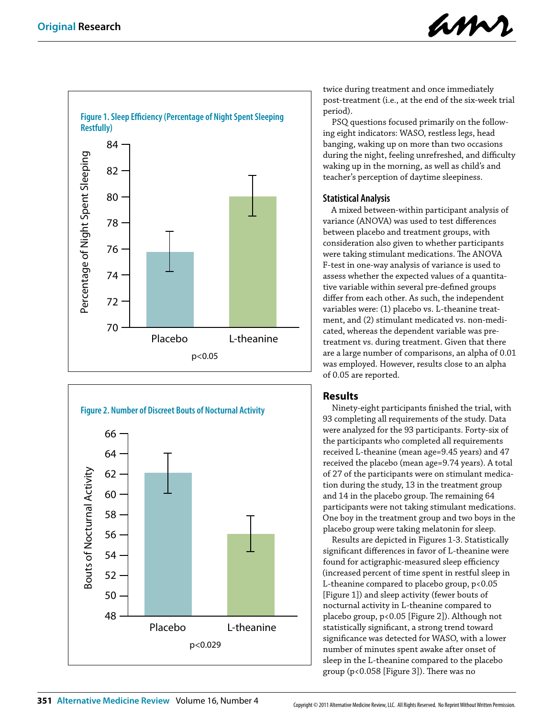





twice during treatment and once immediately post-treatment (i.e., at the end of the six-week trial period).

PSQ questions focused primarily on the following eight indicators: WASO, restless legs, head banging, waking up on more than two occasions during the night, feeling unrefreshed, and difficulty waking up in the morning, as well as child's and teacher's perception of daytime sleepiness.

## **Statistical Analysis**

A mixed between-within participant analysis of variance (ANOVA) was used to test differences between placebo and treatment groups, with consideration also given to whether participants were taking stimulant medications. The ANOVA F-test in one-way analysis of variance is used to assess whether the expected values of a quantitative variable within several pre-defined groups differ from each other. As such, the independent variables were: (1) placebo vs. L-theanine treatment, and (2) stimulant medicated vs. non-medicated, whereas the dependent variable was pretreatment vs. during treatment. Given that there are a large number of comparisons, an alpha of 0.01 was employed. However, results close to an alpha of 0.05 are reported.

# **Results**

Ninety-eight participants finished the trial, with 93 completing all requirements of the study. Data were analyzed for the 93 participants. Forty-six of the participants who completed all requirements received L-theanine (mean age=9.45 years) and 47 received the placebo (mean age=9.74 years). A total of 27 of the participants were on stimulant medication during the study, 13 in the treatment group and 14 in the placebo group. The remaining 64 participants were not taking stimulant medications. One boy in the treatment group and two boys in the placebo group were taking melatonin for sleep.

Results are depicted in Figures 1-3. Statistically significant differences in favor of L-theanine were found for actigraphic-measured sleep efficiency (increased percent of time spent in restful sleep in L-theanine compared to placebo group, p<0.05 [Figure 1]) and sleep activity (fewer bouts of nocturnal activity in L-theanine compared to placebo group, p<0.05 [Figure 2]). Although not statistically significant, a strong trend toward significance was detected for WASO, with a lower number of minutes spent awake after onset of sleep in the L-theanine compared to the placebo group (p<0.058 [Figure 3]). There was no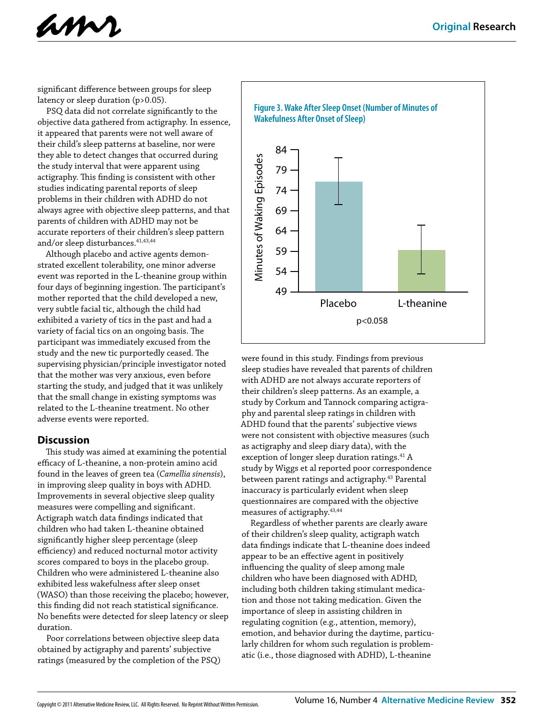



significant difference between groups for sleep latency or sleep duration (p>0.05).

PSQ data did not correlate significantly to the objective data gathered from actigraphy. In essence, it appeared that parents were not well aware of their child's sleep patterns at baseline, nor were they able to detect changes that occurred during the study interval that were apparent using actigraphy. This finding is consistent with other studies indicating parental reports of sleep problems in their children with ADHD do not always agree with objective sleep patterns, and that parents of children with ADHD may not be accurate reporters of their children's sleep pattern and/or sleep disturbances.  $\hspace{0.025cm}^{41,43,44}$ 

Although placebo and active agents demonstrated excellent tolerability, one minor adverse event was reported in the L-theanine group within four days of beginning ingestion. The participant's mother reported that the child developed a new, very subtle facial tic, although the child had exhibited a variety of tics in the past and had a variety of facial tics on an ongoing basis. The participant was immediately excused from the study and the new tic purportedly ceased. The supervising physician/principle investigator noted that the mother was very anxious, even before starting the study, and judged that it was unlikely that the small change in existing symptoms was related to the L-theanine treatment. No other adverse events were reported.

#### **Discussion**

This study was aimed at examining the potential efficacy of L-theanine, a non-protein amino acid found in the leaves of green tea (*Camellia sinensis*), in improving sleep quality in boys with ADHD. Improvements in several objective sleep quality measures were compelling and significant. Actigraph watch data findings indicated that children who had taken L-theanine obtained significantly higher sleep percentage (sleep efficiency) and reduced nocturnal motor activity scores compared to boys in the placebo group. Children who were administered L-theanine also exhibited less wakefulness after sleep onset (WASO) than those receiving the placebo; however, this finding did not reach statistical significance. No benefits were detected for sleep latency or sleep duration.

Poor correlations between objective sleep data obtained by actigraphy and parents' subjective ratings (measured by the completion of the PSQ)



were found in this study. Findings from previous sleep studies have revealed that parents of children with ADHD are not always accurate reporters of their children's sleep patterns. As an example, a study by Corkum and Tannock comparing actigraphy and parental sleep ratings in children with ADHD found that the parents' subjective views were not consistent with objective measures (such as actigraphy and sleep diary data), with the exception of longer sleep duration ratings.<sup>41</sup> A study by Wiggs et al reported poor correspondence between parent ratings and actigraphy.<sup>43</sup> Parental inaccuracy is particularly evident when sleep questionnaires are compared with the objective measures of actigraphy.43,44

Regardless of whether parents are clearly aware of their children's sleep quality, actigraph watch data findings indicate that L-theanine does indeed appear to be an effective agent in positively influencing the quality of sleep among male children who have been diagnosed with ADHD, including both children taking stimulant medication and those not taking medication. Given the importance of sleep in assisting children in regulating cognition (e.g., attention, memory), emotion, and behavior during the daytime, particularly children for whom such regulation is problematic (i.e., those diagnosed with ADHD), L-theanine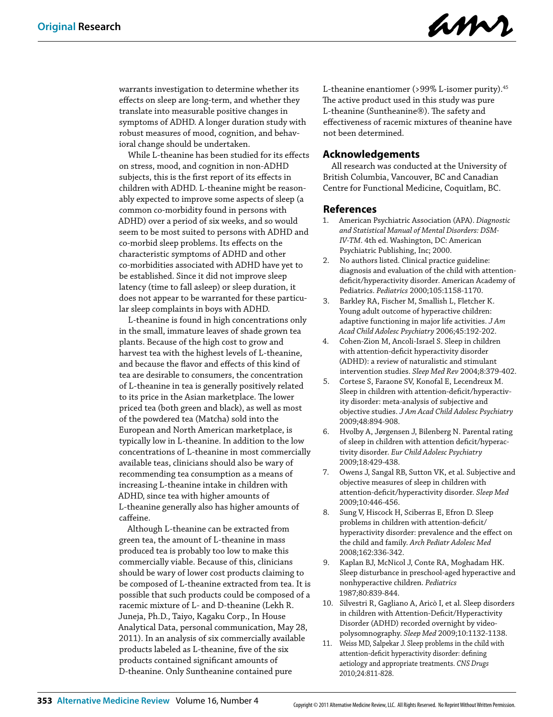

warrants investigation to determine whether its effects on sleep are long-term, and whether they translate into measurable positive changes in symptoms of ADHD. A longer duration study with robust measures of mood, cognition, and behavioral change should be undertaken.

While L-theanine has been studied for its effects on stress, mood, and cognition in non-ADHD subjects, this is the first report of its effects in children with ADHD. L-theanine might be reasonably expected to improve some aspects of sleep (a common co-morbidity found in persons with ADHD) over a period of six weeks, and so would seem to be most suited to persons with ADHD and co-morbid sleep problems. Its effects on the characteristic symptoms of ADHD and other co-morbidities associated with ADHD have yet to be established. Since it did not improve sleep latency (time to fall asleep) or sleep duration, it does not appear to be warranted for these particular sleep complaints in boys with ADHD.

L-theanine is found in high concentrations only in the small, immature leaves of shade grown tea plants. Because of the high cost to grow and harvest tea with the highest levels of L-theanine, and because the flavor and effects of this kind of tea are desirable to consumers, the concentration of L-theanine in tea is generally positively related to its price in the Asian marketplace. The lower priced tea (both green and black), as well as most of the powdered tea (Matcha) sold into the European and North American marketplace, is typically low in L-theanine. In addition to the low concentrations of L-theanine in most commercially available teas, clinicians should also be wary of recommending tea consumption as a means of increasing L-theanine intake in children with ADHD, since tea with higher amounts of L-theanine generally also has higher amounts of caffeine.

Although L-theanine can be extracted from green tea, the amount of L-theanine in mass produced tea is probably too low to make this commercially viable. Because of this, clinicians should be wary of lower cost products claiming to be composed of L-theanine extracted from tea. It is possible that such products could be composed of a racemic mixture of L- and D-theanine (Lekh R. Juneja, Ph.D., Taiyo, Kagaku Corp., In House Analytical Data, personal communication, May 28, 2011). In an analysis of six commercially available products labeled as L-theanine, five of the six products contained significant amounts of D-theanine. Only Suntheanine contained pure

L-theanine enantiomer (>99% L-isomer purity).<sup>45</sup> The active product used in this study was pure L-theanine (Suntheanine®). The safety and effectiveness of racemic mixtures of theanine have not been determined.

#### **Acknowledgements**

All research was conducted at the University of British Columbia, Vancouver, BC and Canadian Centre for Functional Medicine, Coquitlam, BC.

#### **References**

- 1. American Psychiatric Association (APA). *Diagnostic and Statistical Manual of Mental Disorders: DSM-IV-TM*. 4th ed. Washington, DC: American Psychiatric Publishing, Inc; 2000.
- 2. No authors listed. Clinical practice guideline: diagnosis and evaluation of the child with attentiondeficit/hyperactivity disorder. American Academy of Pediatrics. *Pediatrics* 2000;105:1158-1170.
- 3. Barkley RA, Fischer M, Smallish L, Fletcher K. Young adult outcome of hyperactive children: adaptive functioning in major life activities. *J Am Acad Child Adolesc Psychiatry* 2006;45:192-202.
- 4. Cohen-Zion M, Ancoli-Israel S. Sleep in children with attention-deficit hyperactivity disorder (ADHD): a review of naturalistic and stimulant intervention studies. *Sleep Med Rev* 2004;8:379-402.
- 5. Cortese S, Faraone SV, Konofal E, Lecendreux M. Sleep in children with attention-deficit/hyperactivity disorder: meta-analysis of subjective and objective studies. *J Am Acad Child Adolesc Psychiatry* 2009;48:894-908.
- 6. Hvolby A, Jørgensen J, Bilenberg N. Parental rating of sleep in children with attention deficit/hyperactivity disorder. *Eur Child Adolesc Psychiatry* 2009;18:429-438.
- 7. Owens J, Sangal RB, Sutton VK, et al. Subjective and objective measures of sleep in children with attention-deficit/hyperactivity disorder. *Sleep Med* 2009;10:446-456.
- 8. Sung V, Hiscock H, Sciberras E, Efron D. Sleep problems in children with attention-deficit/ hyperactivity disorder: prevalence and the effect on the child and family. *Arch Pediatr Adolesc Med*  2008;162:336-342.
- 9. Kaplan BJ, McNicol J, Conte RA, Moghadam HK. Sleep disturbance in preschool-aged hyperactive and nonhyperactive children. *Pediatrics* 1987;80:839-844.
- 10. Silvestri R, Gagliano A, Aricò I, et al. Sleep disorders in children with Attention-Deficit/Hyperactivity Disorder (ADHD) recorded overnight by videopolysomnography. *Sleep Med* 2009;10:1132-1138.
- 11. Weiss MD, Salpekar J. Sleep problems in the child with attention-deficit hyperactivity disorder: defining aetiology and appropriate treatments. *CNS Drugs* 2010;24:811-828.